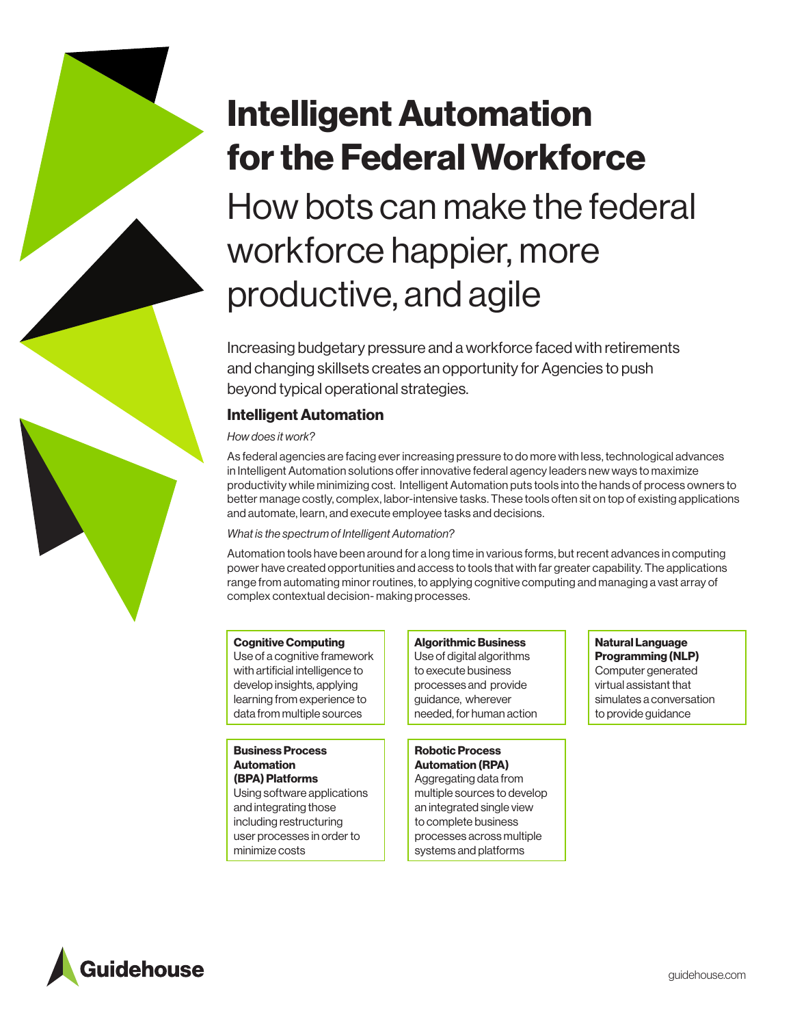# Intelligent Automation for the Federal Workforce

How bots can make the federal workforce happier, more productive, and agile

Increasing budgetary pressure and a workforce faced with retirements and changing skillsets creates an opportunity for Agencies to push beyond typical operational strategies.

## Intelligent Automation

*How does it work?*

As federal agencies are facing ever increasing pressure to do more with less, technological advances in Intelligent Automation solutions offer innovative federal agency leaders new ways to maximize productivity while minimizing cost. Intelligent Automation puts tools into the hands of process owners to better manage costly, complex, labor-intensive tasks. These tools often sit on top of existing applications and automate, learn, and execute employee tasks and decisions.

*What is the spectrum of Intelligent Automation?*

Automation tools have been around for a long time in various forms, but recent advances in computing power have created opportunities and access to tools that with far greater capability. The applications range from automating minor routines, to applying cognitive computing and managing a vast array of complex contextual decision- making processes.

## Cognitive Computing

Use of a cognitive framework with artificial intelligence to develop insights, applying learning from experience to data from multiple sources

#### Business Process **Automation** (BPA) Platforms

Using software applications and integrating those including restructuring user processes in order to minimize costs

## Algorithmic Business

Use of digital algorithms to execute business processes and provide guidance, wherever needed, for human action

#### Robotic Process Automation (RPA) Aggregating data from multiple sources to develop an integrated single view to complete business processes across multiple systems and platforms

Natural Language Programming (NLP) Computer generated virtual assistant that simulates a conversation to provide guidance